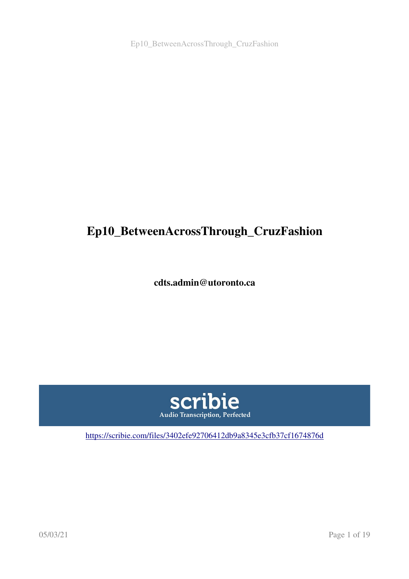# Ep10\_BetweenAcrossThrough\_CruzFashion

cdts.admin@utoronto.ca



<https://scribie.com/files/3402efe92706412db9a8345e3cfb37cf1674876d>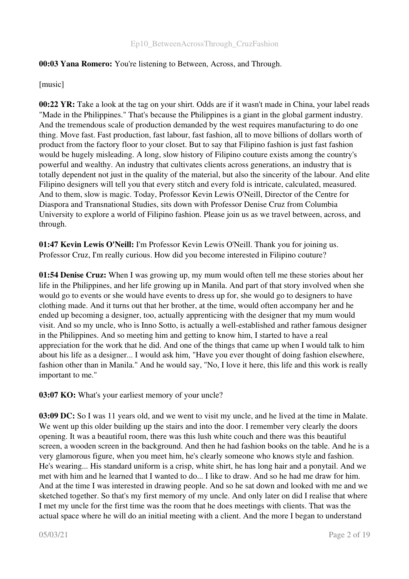## 00:03 Yana Romero: You're listening to Between, Across, and Through.

[music]

00:22 YR: Take a look at the tag on your shirt. Odds are if it wasn't made in China, your label reads "Made in the Philippines." That's because the Philippines is a giant in the global garment industry. And the tremendous scale of production demanded by the west requires manufacturing to do one thing. Move fast. Fast production, fast labour, fast fashion, all to move billions of dollars worth of product from the factory floor to your closet. But to say that Filipino fashion is just fast fashion would be hugely misleading. A long, slow history of Filipino couture exists among the country's powerful and wealthy. An industry that cultivates clients across generations, an industry that is totally dependent not just in the quality of the material, but also the sincerity of the labour. And elite Filipino designers will tell you that every stitch and every fold is intricate, calculated, measured. And to them, slow is magic. Today, Professor Kevin Lewis O'Neill, Director of the Centre for Diaspora and Transnational Studies, sits down with Professor Denise Cruz from Columbia University to explore a world of Filipino fashion. Please join us as we travel between, across, and through.

01:47 Kevin Lewis O'Neill: I'm Professor Kevin Lewis O'Neill. Thank you for joining us. Professor Cruz, I'm really curious. How did you become interested in Filipino couture?

01:54 Denise Cruz: When I was growing up, my mum would often tell me these stories about her life in the Philippines, and her life growing up in Manila. And part of that story involved when she would go to events or she would have events to dress up for, she would go to designers to have clothing made. And it turns out that her brother, at the time, would often accompany her and he ended up becoming a designer, too, actually apprenticing with the designer that my mum would visit. And so my uncle, who is Inno Sotto, is actually a wellestablished and rather famous designer in the Philippines. And so meeting him and getting to know him, I started to have a real appreciation for the work that he did. And one of the things that came up when I would talk to him about his life as a designer... I would ask him, "Have you ever thought of doing fashion elsewhere, fashion other than in Manila." And he would say, "No, I love it here, this life and this work is really important to me."

03:07 KO: What's your earliest memory of your uncle?

03:09 DC: So I was 11 years old, and we went to visit my uncle, and he lived at the time in Malate. We went up this older building up the stairs and into the door. I remember very clearly the doors opening. It was a beautiful room, there was this lush white couch and there was this beautiful screen, a wooden screen in the background. And then he had fashion books on the table. And he is a very glamorous figure, when you meet him, he's clearly someone who knows style and fashion. He's wearing... His standard uniform is a crisp, white shirt, he has long hair and a ponytail. And we met with him and he learned that I wanted to do... I like to draw. And so he had me draw for him. And at the time I was interested in drawing people. And so he sat down and looked with me and we sketched together. So that's my first memory of my uncle. And only later on did I realise that where I met my uncle for the first time was the room that he does meetings with clients. That was the actual space where he will do an initial meeting with a client. And the more I began to understand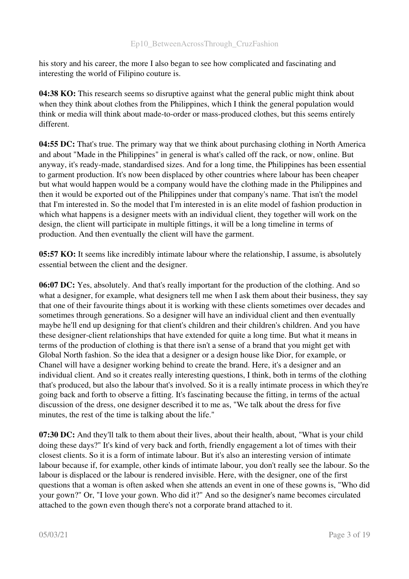his story and his career, the more I also began to see how complicated and fascinating and interesting the world of Filipino couture is.

04:38 KO: This research seems so disruptive against what the general public might think about when they think about clothes from the Philippines, which I think the general population would think or media will think about made-to-order or mass-produced clothes, but this seems entirely different.

04:55 DC: That's true. The primary way that we think about purchasing clothing in North America and about "Made in the Philippines" in general is what's called off the rack, or now, online. But anyway, it's ready-made, standardised sizes. And for a long time, the Philippines has been essential to garment production. It's now been displaced by other countries where labour has been cheaper but what would happen would be a company would have the clothing made in the Philippines and then it would be exported out of the Philippines under that company's name. That isn't the model that I'm interested in. So the model that I'm interested in is an elite model of fashion production in which what happens is a designer meets with an individual client, they together will work on the design, the client will participate in multiple fittings, it will be a long timeline in terms of production. And then eventually the client will have the garment.

05:57 KO: It seems like incredibly intimate labour where the relationship, I assume, is absolutely essential between the client and the designer.

06:07 DC: Yes, absolutely. And that's really important for the production of the clothing. And so what a designer, for example, what designers tell me when I ask them about their business, they say that one of their favourite things about it is working with these clients sometimes over decades and sometimes through generations. So a designer will have an individual client and then eventually maybe he'll end up designing for that client's children and their children's children. And you have these designer-client relationships that have extended for quite a long time. But what it means in terms of the production of clothing is that there isn't a sense of a brand that you might get with Global North fashion. So the idea that a designer or a design house like Dior, for example, or Chanel will have a designer working behind to create the brand. Here, it's a designer and an individual client. And so it creates really interesting questions, I think, both in terms of the clothing that's produced, but also the labour that's involved. So it is a really intimate process in which they're going back and forth to observe a fitting. It's fascinating because the fitting, in terms of the actual discussion of the dress, one designer described it to me as, "We talk about the dress for five minutes, the rest of the time is talking about the life."

07:30 DC: And they'll talk to them about their lives, about their health, about, "What is your child doing these days?" It's kind of very back and forth, friendly engagement a lot of times with their closest clients. So it is a form of intimate labour. But it's also an interesting version of intimate labour because if, for example, other kinds of intimate labour, you don't really see the labour. So the labour is displaced or the labour is rendered invisible. Here, with the designer, one of the first questions that a woman is often asked when she attends an event in one of these gowns is, "Who did your gown?" Or, "I love your gown. Who did it?" And so the designer's name becomes circulated attached to the gown even though there's not a corporate brand attached to it.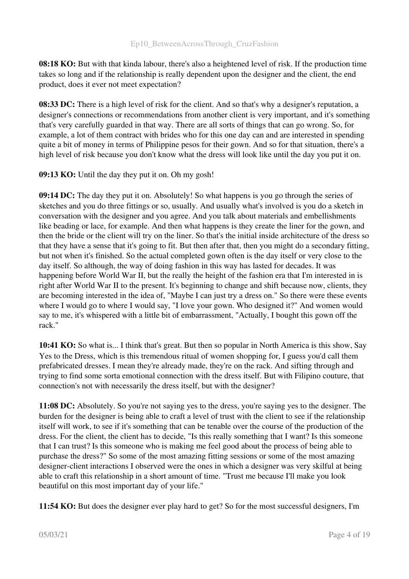08:18 KO: But with that kinda labour, there's also a heightened level of risk. If the production time takes so long and if the relationship is really dependent upon the designer and the client, the end product, does it ever not meet expectation?

08:33 DC: There is a high level of risk for the client. And so that's why a designer's reputation, a designer's connections or recommendations from another client is very important, and it's something that's very carefully guarded in that way. There are all sorts of things that can go wrong. So, for example, a lot of them contract with brides who for this one day can and are interested in spending quite a bit of money in terms of Philippine pesos for their gown. And so for that situation, there's a high level of risk because you don't know what the dress will look like until the day you put it on.

09:13 KO: Until the day they put it on. Oh my gosh!

09:14 DC: The day they put it on. Absolutely! So what happens is you go through the series of sketches and you do three fittings or so, usually. And usually what's involved is you do a sketch in conversation with the designer and you agree. And you talk about materials and embellishments like beading or lace, for example. And then what happens is they create the liner for the gown, and then the bride or the client will try on the liner. So that's the initial inside architecture of the dress so that they have a sense that it's going to fit. But then after that, then you might do a secondary fitting, but not when it's finished. So the actual completed gown often is the day itself or very close to the day itself. So although, the way of doing fashion in this way has lasted for decades. It was happening before World War II, but the really the height of the fashion era that I'm interested in is right after World War II to the present. It's beginning to change and shift because now, clients, they are becoming interested in the idea of, "Maybe I can just try a dress on." So there were these events where I would go to where I would say, "I love your gown. Who designed it?" And women would say to me, it's whispered with a little bit of embarrassment, "Actually, I bought this gown off the rack."

10:41 KO: So what is... I think that's great. But then so popular in North America is this show, Say Yes to the Dress, which is this tremendous ritual of women shopping for, I guess you'd call them prefabricated dresses. I mean they're already made, they're on the rack. And sifting through and trying to find some sorta emotional connection with the dress itself. But with Filipino couture, that connection's not with necessarily the dress itself, but with the designer?

11:08 DC: Absolutely. So you're not saying yes to the dress, you're saying yes to the designer. The burden for the designer is being able to craft a level of trust with the client to see if the relationship itself will work, to see if it's something that can be tenable over the course of the production of the dress. For the client, the client has to decide, "Is this really something that I want? Is this someone that I can trust? Is this someone who is making me feel good about the process of being able to purchase the dress?" So some of the most amazing fitting sessions or some of the most amazing designer-client interactions I observed were the ones in which a designer was very skilful at being able to craft this relationship in a short amount of time. "Trust me because I'll make you look beautiful on this most important day of your life."

11:54 KO: But does the designer ever play hard to get? So for the most successful designers, I'm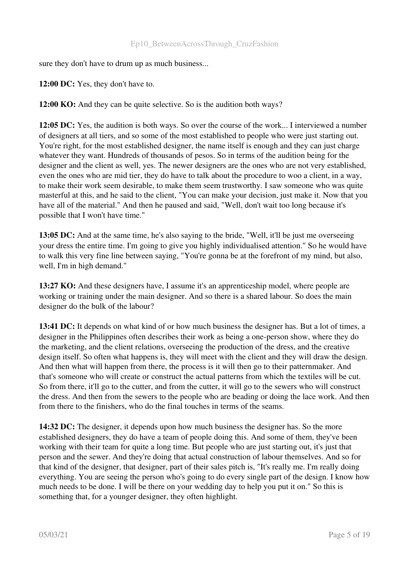sure they don't have to drum up as much business...

12:00 DC: Yes, they don't have to.

12:00 KO: And they can be quite selective. So is the audition both ways?

12:05 DC: Yes, the audition is both ways. So over the course of the work... I interviewed a number of designers at all tiers, and so some of the most established to people who were just starting out. You're right, for the most established designer, the name itself is enough and they can just charge whatever they want. Hundreds of thousands of pesos. So in terms of the audition being for the designer and the client as well, yes. The newer designers are the ones who are not very established, even the ones who are mid tier, they do have to talk about the procedure to woo a client, in a way, to make their work seem desirable, to make them seem trustworthy. I saw someone who was quite masterful at this, and he said to the client, "You can make your decision, just make it. Now that you have all of the material." And then he paused and said, "Well, don't wait too long because it's possible that I won't have time."

13:05 DC: And at the same time, he's also saying to the bride, "Well, it'll be just me overseeing your dress the entire time. I'm going to give you highly individualised attention." So he would have to walk this very fine line between saying, "You're gonna be at the forefront of my mind, but also, well, I'm in high demand."

13:27 KO: And these designers have, I assume it's an apprenticeship model, where people are working or training under the main designer. And so there is a shared labour. So does the main designer do the bulk of the labour?

13:41 DC: It depends on what kind of or how much business the designer has. But a lot of times, a designer in the Philippines often describes their work as being a one-person show, where they do the marketing, and the client relations, overseeing the production of the dress, and the creative design itself. So often what happens is, they will meet with the client and they will draw the design. And then what will happen from there, the process is it will then go to their patternmaker. And that's someone who will create or construct the actual patterns from which the textiles will be cut. So from there, it'll go to the cutter, and from the cutter, it will go to the sewers who will construct the dress. And then from the sewers to the people who are beading or doing the lace work. And then from there to the finishers, who do the final touches in terms of the seams.

14:32 DC: The designer, it depends upon how much business the designer has. So the more established designers, they do have a team of people doing this. And some of them, they've been working with their team for quite a long time. But people who are just starting out, it's just that person and the sewer. And they're doing that actual construction of labour themselves. And so for that kind of the designer, that designer, part of their sales pitch is, "It's really me. I'm really doing everything. You are seeing the person who's going to do every single part of the design. I know how much needs to be done. I will be there on your wedding day to help you put it on." So this is something that, for a younger designer, they often highlight.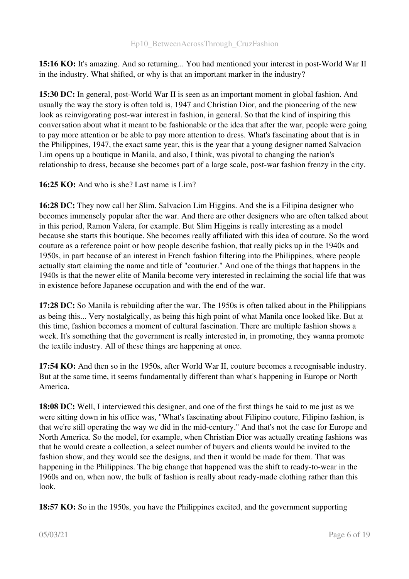15:16 KO: It's amazing. And so returning... You had mentioned your interest in post-World War II in the industry. What shifted, or why is that an important marker in the industry?

15:30 DC: In general, post-World War II is seen as an important moment in global fashion. And usually the way the story is often told is, 1947 and Christian Dior, and the pioneering of the new look as reinvigorating post-war interest in fashion, in general. So that the kind of inspiring this conversation about what it meant to be fashionable or the idea that after the war, people were going to pay more attention or be able to pay more attention to dress. What's fascinating about that is in the Philippines, 1947, the exact same year, this is the year that a young designer named Salvacion Lim opens up a boutique in Manila, and also, I think, was pivotal to changing the nation's relationship to dress, because she becomes part of a large scale, post-war fashion frenzy in the city.

16:25 KO: And who is she? Last name is Lim?

16:28 DC: They now call her Slim. Salvacion Lim Higgins. And she is a Filipina designer who becomes immensely popular after the war. And there are other designers who are often talked about in this period, Ramon Valera, for example. But Slim Higgins is really interesting as a model because she starts this boutique. She becomes really affiliated with this idea of couture. So the word couture as a reference point or how people describe fashion, that really picks up in the 1940s and 1950s, in part because of an interest in French fashion filtering into the Philippines, where people actually start claiming the name and title of "couturier." And one of the things that happens in the 1940s is that the newer elite of Manila become very interested in reclaiming the social life that was in existence before Japanese occupation and with the end of the war.

17:28 DC: So Manila is rebuilding after the war. The 1950s is often talked about in the Philippians as being this... Very nostalgically, as being this high point of what Manila once looked like. But at this time, fashion becomes a moment of cultural fascination. There are multiple fashion shows a week. It's something that the government is really interested in, in promoting, they wanna promote the textile industry. All of these things are happening at once.

17:54 KO: And then so in the 1950s, after World War II, couture becomes a recognisable industry. But at the same time, it seems fundamentally different than what's happening in Europe or North America.

18:08 DC: Well, I interviewed this designer, and one of the first things he said to me just as we were sitting down in his office was, "What's fascinating about Filipino couture, Filipino fashion, is that we're still operating the way we did in the mid-century." And that's not the case for Europe and North America. So the model, for example, when Christian Dior was actually creating fashions was that he would create a collection, a select number of buyers and clients would be invited to the fashion show, and they would see the designs, and then it would be made for them. That was happening in the Philippines. The big change that happened was the shift to ready-to-wear in the 1960s and on, when now, the bulk of fashion is really about readymade clothing rather than this look.

18:57 KO: So in the 1950s, you have the Philippines excited, and the government supporting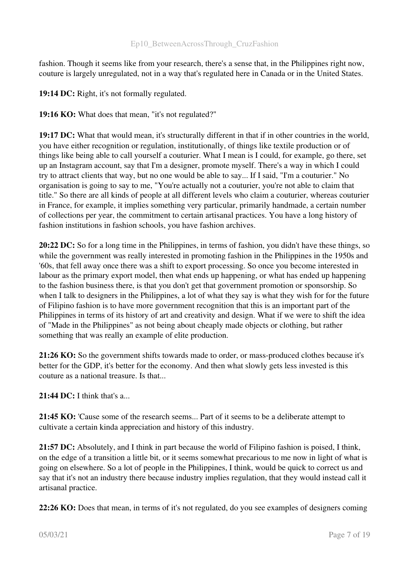fashion. Though it seems like from your research, there's a sense that, in the Philippines right now, couture is largely unregulated, not in a way that's regulated here in Canada or in the United States.

19:14 DC: Right, it's not formally regulated.

19:16 KO: What does that mean, "it's not regulated?"

19:17 DC: What that would mean, it's structurally different in that if in other countries in the world, you have either recognition or regulation, institutionally, of things like textile production or of things like being able to call yourself a couturier. What I mean is I could, for example, go there, set up an Instagram account, say that I'm a designer, promote myself. There's a way in which I could try to attract clients that way, but no one would be able to say... If I said, "I'm a couturier." No organisation is going to say to me, "You're actually not a couturier, you're not able to claim that title." So there are all kinds of people at all different levels who claim a couturier, whereas couturier in France, for example, it implies something very particular, primarily handmade, a certain number of collections per year, the commitment to certain artisanal practices. You have a long history of fashion institutions in fashion schools, you have fashion archives.

20:22 DC: So for a long time in the Philippines, in terms of fashion, you didn't have these things, so while the government was really interested in promoting fashion in the Philippines in the 1950s and '60s, that fell away once there was a shift to export processing. So once you become interested in labour as the primary export model, then what ends up happening, or what has ended up happening to the fashion business there, is that you don't get that government promotion or sponsorship. So when I talk to designers in the Philippines, a lot of what they say is what they wish for for the future of Filipino fashion is to have more government recognition that this is an important part of the Philippines in terms of its history of art and creativity and design. What if we were to shift the idea of "Made in the Philippines" as not being about cheaply made objects or clothing, but rather something that was really an example of elite production.

21:26 KO: So the government shifts towards made to order, or mass-produced clothes because it's better for the GDP, it's better for the economy. And then what slowly gets less invested is this couture as a national treasure. Is that...

21:44 DC: I think that's  $a_{\cdots}$ 

21:45 KO: 'Cause some of the research seems... Part of it seems to be a deliberate attempt to cultivate a certain kinda appreciation and history of this industry.

21:57 DC: Absolutely, and I think in part because the world of Filipino fashion is poised, I think, on the edge of a transition a little bit, or it seems somewhat precarious to me now in light of what is going on elsewhere. So a lot of people in the Philippines, I think, would be quick to correct us and say that it's not an industry there because industry implies regulation, that they would instead call it artisanal practice.

22:26 KO: Does that mean, in terms of it's not regulated, do you see examples of designers coming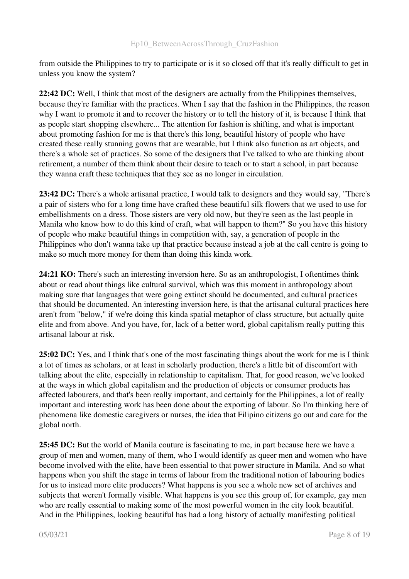from outside the Philippines to try to participate or is it so closed off that it's really difficult to get in unless you know the system?

22:42 DC: Well, I think that most of the designers are actually from the Philippines themselves, because they're familiar with the practices. When I say that the fashion in the Philippines, the reason why I want to promote it and to recover the history or to tell the history of it, is because I think that as people start shopping elsewhere... The attention for fashion is shifting, and what is important about promoting fashion for me is that there's this long, beautiful history of people who have created these really stunning gowns that are wearable, but I think also function as art objects, and there's a whole set of practices. So some of the designers that I've talked to who are thinking about retirement, a number of them think about their desire to teach or to start a school, in part because they wanna craft these techniques that they see as no longer in circulation.

23:42 DC: There's a whole artisanal practice, I would talk to designers and they would say, "There's a pair of sisters who for a long time have crafted these beautiful silk flowers that we used to use for embellishments on a dress. Those sisters are very old now, but they're seen as the last people in Manila who know how to do this kind of craft, what will happen to them?" So you have this history of people who make beautiful things in competition with, say, a generation of people in the Philippines who don't wanna take up that practice because instead a job at the call centre is going to make so much more money for them than doing this kinda work.

24:21 KO: There's such an interesting inversion here. So as an anthropologist, I oftentimes think about or read about things like cultural survival, which was this moment in anthropology about making sure that languages that were going extinct should be documented, and cultural practices that should be documented. An interesting inversion here, is that the artisanal cultural practices here aren't from "below," if we're doing this kinda spatial metaphor of class structure, but actually quite elite and from above. And you have, for, lack of a better word, global capitalism really putting this artisanal labour at risk.

25:02 DC: Yes, and I think that's one of the most fascinating things about the work for me is I think a lot of times as scholars, or at least in scholarly production, there's a little bit of discomfort with talking about the elite, especially in relationship to capitalism. That, for good reason, we've looked at the ways in which global capitalism and the production of objects or consumer products has affected labourers, and that's been really important, and certainly for the Philippines, a lot of really important and interesting work has been done about the exporting of labour. So I'm thinking here of phenomena like domestic caregivers or nurses, the idea that Filipino citizens go out and care for the global north.

25:45 DC: But the world of Manila couture is fascinating to me, in part because here we have a group of men and women, many of them, who I would identify as queer men and women who have become involved with the elite, have been essential to that power structure in Manila. And so what happens when you shift the stage in terms of labour from the traditional notion of labouring bodies for us to instead more elite producers? What happens is you see a whole new set of archives and subjects that weren't formally visible. What happens is you see this group of, for example, gay men who are really essential to making some of the most powerful women in the city look beautiful. And in the Philippines, looking beautiful has had a long history of actually manifesting political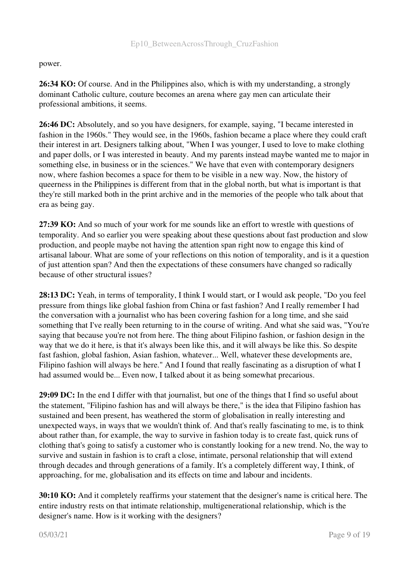#### power.

26:34 KO: Of course. And in the Philippines also, which is with my understanding, a strongly dominant Catholic culture, couture becomes an arena where gay men can articulate their professional ambitions, it seems.

26:46 DC: Absolutely, and so you have designers, for example, saying, "I became interested in fashion in the 1960s." They would see, in the 1960s, fashion became a place where they could craft their interest in art. Designers talking about, "When I was younger, I used to love to make clothing and paper dolls, or I was interested in beauty. And my parents instead maybe wanted me to major in something else, in business or in the sciences." We have that even with contemporary designers now, where fashion becomes a space for them to be visible in a new way. Now, the history of queerness in the Philippines is different from that in the global north, but what is important is that they're still marked both in the print archive and in the memories of the people who talk about that era as being gay.

27:39 KO: And so much of your work for me sounds like an effort to wrestle with questions of temporality. And so earlier you were speaking about these questions about fast production and slow production, and people maybe not having the attention span right now to engage this kind of artisanal labour. What are some of your reflections on this notion of temporality, and is it a question of just attention span? And then the expectations of these consumers have changed so radically because of other structural issues?

28:13 DC: Yeah, in terms of temporality, I think I would start, or I would ask people, "Do you feel pressure from things like global fashion from China or fast fashion? And I really remember I had the conversation with a journalist who has been covering fashion for a long time, and she said something that I've really been returning to in the course of writing. And what she said was, "You're saying that because you're not from here. The thing about Filipino fashion, or fashion design in the way that we do it here, is that it's always been like this, and it will always be like this. So despite fast fashion, global fashion, Asian fashion, whatever... Well, whatever these developments are, Filipino fashion will always be here." And I found that really fascinating as a disruption of what I had assumed would be... Even now, I talked about it as being somewhat precarious.

29:09 DC: In the end I differ with that journalist, but one of the things that I find so useful about the statement, "Filipino fashion has and will always be there," is the idea that Filipino fashion has sustained and been present, has weathered the storm of globalisation in really interesting and unexpected ways, in ways that we wouldn't think of. And that's really fascinating to me, is to think about rather than, for example, the way to survive in fashion today is to create fast, quick runs of clothing that's going to satisfy a customer who is constantly looking for a new trend. No, the way to survive and sustain in fashion is to craft a close, intimate, personal relationship that will extend through decades and through generations of a family. It's a completely different way, I think, of approaching, for me, globalisation and its effects on time and labour and incidents.

30:10 KO: And it completely reaffirms your statement that the designer's name is critical here. The entire industry rests on that intimate relationship, multigenerational relationship, which is the designer's name. How is it working with the designers?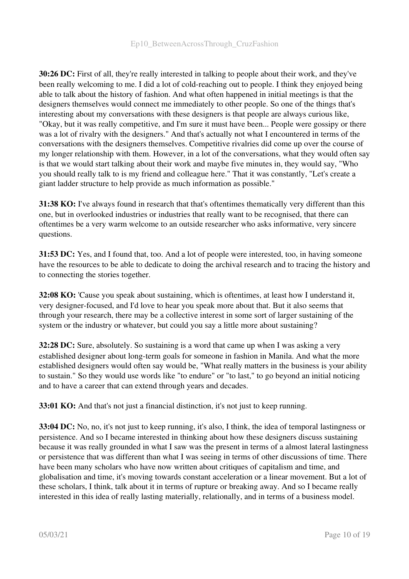30:26 DC: First of all, they're really interested in talking to people about their work, and they've been really welcoming to me. I did a lot of cold-reaching out to people. I think they enjoyed being able to talk about the history of fashion. And what often happened in initial meetings is that the designers themselves would connect me immediately to other people. So one of the things that's interesting about my conversations with these designers is that people are always curious like, "Okay, but it was really competitive, and I'm sure it must have been... People were gossipy or there was a lot of rivalry with the designers." And that's actually not what I encountered in terms of the conversations with the designers themselves. Competitive rivalries did come up over the course of my longer relationship with them. However, in a lot of the conversations, what they would often say is that we would start talking about their work and maybe five minutes in, they would say, "Who you should really talk to is my friend and colleague here." That it was constantly, "Let's create a giant ladder structure to help provide as much information as possible."

31:38 KO: I've always found in research that that's oftentimes thematically very different than this one, but in overlooked industries or industries that really want to be recognised, that there can oftentimes be a very warm welcome to an outside researcher who asks informative, very sincere questions.

31:53 DC: Yes, and I found that, too. And a lot of people were interested, too, in having someone have the resources to be able to dedicate to doing the archival research and to tracing the history and to connecting the stories together.

32:08 KO: 'Cause you speak about sustaining, which is oftentimes, at least how I understand it, very designer-focused, and I'd love to hear you speak more about that. But it also seems that through your research, there may be a collective interest in some sort of larger sustaining of the system or the industry or whatever, but could you say a little more about sustaining?

32:28 DC: Sure, absolutely. So sustaining is a word that came up when I was asking a very established designer about long-term goals for someone in fashion in Manila. And what the more established designers would often say would be, "What really matters in the business is your ability to sustain." So they would use words like "to endure" or "to last," to go beyond an initial noticing and to have a career that can extend through years and decades.

33:01 KO: And that's not just a financial distinction, it's not just to keep running.

33:04 DC: No, no, it's not just to keep running, it's also, I think, the idea of temporal lastingness or persistence. And so I became interested in thinking about how these designers discuss sustaining because it was really grounded in what I saw was the present in terms of a almost lateral lastingness or persistence that was different than what I was seeing in terms of other discussions of time. There have been many scholars who have now written about critiques of capitalism and time, and globalisation and time, it's moving towards constant acceleration or a linear movement. But a lot of these scholars, I think, talk about it in terms of rupture or breaking away. And so I became really interested in this idea of really lasting materially, relationally, and in terms of a business model.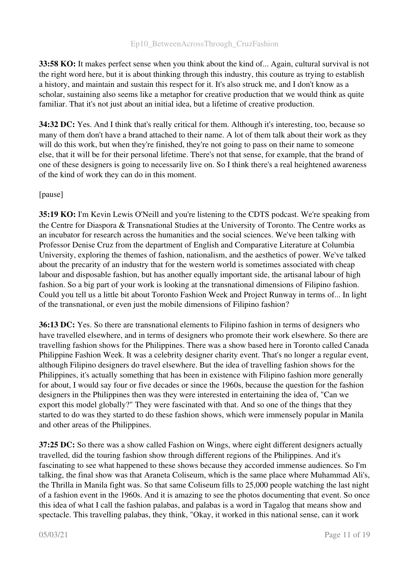33:58 KO: It makes perfect sense when you think about the kind of... Again, cultural survival is not the right word here, but it is about thinking through this industry, this couture as trying to establish a history, and maintain and sustain this respect for it. It's also struck me, and I don't know as a scholar, sustaining also seems like a metaphor for creative production that we would think as quite familiar. That it's not just about an initial idea, but a lifetime of creative production.

34:32 DC: Yes. And I think that's really critical for them. Although it's interesting, too, because so many of them don't have a brand attached to their name. A lot of them talk about their work as they will do this work, but when they're finished, they're not going to pass on their name to someone else, that it will be for their personal lifetime. There's not that sense, for example, that the brand of one of these designers is going to necessarily live on. So I think there's a real heightened awareness of the kind of work they can do in this moment.

[pause]

35:19 KO: I'm Kevin Lewis O'Neill and you're listening to the CDTS podcast. We're speaking from the Centre for Diaspora & Transnational Studies at the University of Toronto. The Centre works as an incubator for research across the humanities and the social sciences. We've been talking with Professor Denise Cruz from the department of English and Comparative Literature at Columbia University, exploring the themes of fashion, nationalism, and the aesthetics of power. We've talked about the precarity of an industry that for the western world is sometimes associated with cheap labour and disposable fashion, but has another equally important side, the artisanal labour of high fashion. So a big part of your work is looking at the transnational dimensions of Filipino fashion. Could you tell us a little bit about Toronto Fashion Week and Project Runway in terms of... In light of the transnational, or even just the mobile dimensions of Filipino fashion?

36:13 DC: Yes. So there are transnational elements to Filipino fashion in terms of designers who have travelled elsewhere, and in terms of designers who promote their work elsewhere. So there are travelling fashion shows for the Philippines. There was a show based here in Toronto called Canada Philippine Fashion Week. It was a celebrity designer charity event. That's no longer a regular event, although Filipino designers do travel elsewhere. But the idea of travelling fashion shows for the Philippines, it's actually something that has been in existence with Filipino fashion more generally for about, I would say four or five decades or since the 1960s, because the question for the fashion designers in the Philippines then was they were interested in entertaining the idea of, "Can we export this model globally?" They were fascinated with that. And so one of the things that they started to do was they started to do these fashion shows, which were immensely popular in Manila and other areas of the Philippines.

37:25 DC: So there was a show called Fashion on Wings, where eight different designers actually travelled, did the touring fashion show through different regions of the Philippines. And it's fascinating to see what happened to these shows because they accorded immense audiences. So I'm talking, the final show was that Araneta Coliseum, which is the same place where Muhammad Ali's, the Thrilla in Manila fight was. So that same Coliseum fills to 25,000 people watching the last night of a fashion event in the 1960s. And it is amazing to see the photos documenting that event. So once this idea of what I call the fashion palabas, and palabas is a word in Tagalog that means show and spectacle. This travelling palabas, they think, "Okay, it worked in this national sense, can it work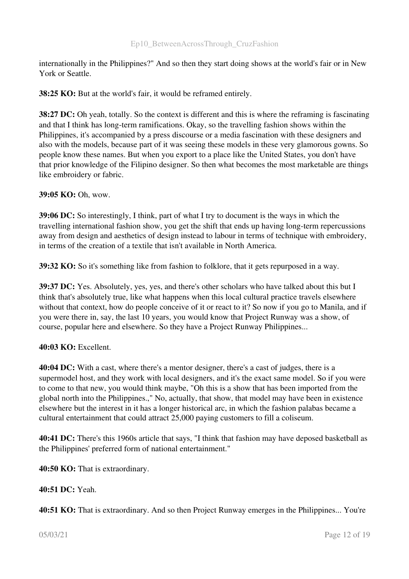internationally in the Philippines?" And so then they start doing shows at the world's fair or in New York or Seattle.

38:25 KO: But at the world's fair, it would be reframed entirely.

38:27 DC: Oh yeah, totally. So the context is different and this is where the reframing is fascinating and that I think has long-term ramifications. Okay, so the travelling fashion shows within the Philippines, it's accompanied by a press discourse or a media fascination with these designers and also with the models, because part of it was seeing these models in these very glamorous gowns. So people know these names. But when you export to a place like the United States, you don't have that prior knowledge of the Filipino designer. So then what becomes the most marketable are things like embroidery or fabric.

39:05 KO: Oh, wow.

39:06 DC: So interestingly, I think, part of what I try to document is the ways in which the travelling international fashion show, you get the shift that ends up having long-term repercussions away from design and aesthetics of design instead to labour in terms of technique with embroidery, in terms of the creation of a textile that isn't available in North America.

39:32 KO: So it's something like from fashion to folklore, that it gets repurposed in a way.

39:37 DC: Yes. Absolutely, yes, yes, and there's other scholars who have talked about this but I think that's absolutely true, like what happens when this local cultural practice travels elsewhere without that context, how do people conceive of it or react to it? So now if you go to Manila, and if you were there in, say, the last 10 years, you would know that Project Runway was a show, of course, popular here and elsewhere. So they have a Project Runway Philippines...

#### 40:03 KO: Excellent.

40:04 DC: With a cast, where there's a mentor designer, there's a cast of judges, there is a supermodel host, and they work with local designers, and it's the exact same model. So if you were to come to that new, you would think maybe, "Oh this is a show that has been imported from the global north into the Philippines.," No, actually, that show, that model may have been in existence elsewhere but the interest in it has a longer historical arc, in which the fashion palabas became a cultural entertainment that could attract 25,000 paying customers to fill a coliseum.

40:41 DC: There's this 1960s article that says, "I think that fashion may have deposed basketball as the Philippines' preferred form of national entertainment."

40:50 KO: That is extraordinary.

40:51 DC: Yeah.

40:51 KO: That is extraordinary. And so then Project Runway emerges in the Philippines... You're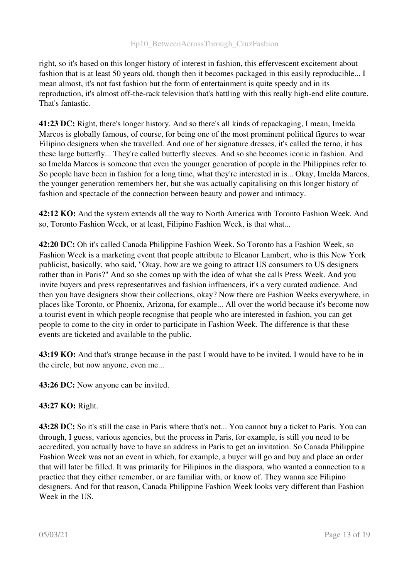right, so it's based on this longer history of interest in fashion, this effervescent excitement about fashion that is at least 50 years old, though then it becomes packaged in this easily reproducible... I mean almost, it's not fast fashion but the form of entertainment is quite speedy and in its reproduction, it's almost off-the-rack television that's battling with this really high-end elite couture. That's fantastic.

41:23 DC: Right, there's longer history. And so there's all kinds of repackaging, I mean, Imelda Marcos is globally famous, of course, for being one of the most prominent political figures to wear Filipino designers when she travelled. And one of her signature dresses, it's called the terno, it has these large butterfly... They're called butterfly sleeves. And so she becomes iconic in fashion. And so Imelda Marcos is someone that even the younger generation of people in the Philippines refer to. So people have been in fashion for a long time, what they're interested in is... Okay, Imelda Marcos, the younger generation remembers her, but she was actually capitalising on this longer history of fashion and spectacle of the connection between beauty and power and intimacy.

42:12 KO: And the system extends all the way to North America with Toronto Fashion Week. And so, Toronto Fashion Week, or at least, Filipino Fashion Week, is that what...

42:20 DC: Oh it's called Canada Philippine Fashion Week. So Toronto has a Fashion Week, so Fashion Week is a marketing event that people attribute to Eleanor Lambert, who is this New York publicist, basically, who said, "Okay, how are we going to attract US consumers to US designers rather than in Paris?" And so she comes up with the idea of what she calls Press Week. And you invite buyers and press representatives and fashion influencers, it's a very curated audience. And then you have designers show their collections, okay? Now there are Fashion Weeks everywhere, in places like Toronto, or Phoenix, Arizona, for example... All over the world because it's become now a tourist event in which people recognise that people who are interested in fashion, you can get people to come to the city in order to participate in Fashion Week. The difference is that these events are ticketed and available to the public.

43:19 KO: And that's strange because in the past I would have to be invited. I would have to be in the circle, but now anyone, even me...

43:26 DC: Now anyone can be invited.

#### 43:27 KO: Right.

43:28 DC: So it's still the case in Paris where that's not... You cannot buy a ticket to Paris. You can through, I guess, various agencies, but the process in Paris, for example, is still you need to be accredited, you actually have to have an address in Paris to get an invitation. So Canada Philippine Fashion Week was not an event in which, for example, a buyer will go and buy and place an order that will later be filled. It was primarily for Filipinos in the diaspora, who wanted a connection to a practice that they either remember, or are familiar with, or know of. They wanna see Filipino designers. And for that reason, Canada Philippine Fashion Week looks very different than Fashion Week in the US.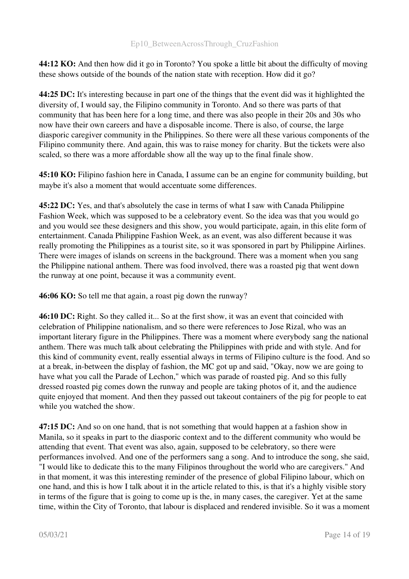44:12 KO: And then how did it go in Toronto? You spoke a little bit about the difficulty of moving these shows outside of the bounds of the nation state with reception. How did it go?

44:25 DC: It's interesting because in part one of the things that the event did was it highlighted the diversity of, I would say, the Filipino community in Toronto. And so there was parts of that community that has been here for a long time, and there was also people in their 20s and 30s who now have their own careers and have a disposable income. There is also, of course, the large diasporic caregiver community in the Philippines. So there were all these various components of the Filipino community there. And again, this was to raise money for charity. But the tickets were also scaled, so there was a more affordable show all the way up to the final finale show.

45:10 KO: Filipino fashion here in Canada, I assume can be an engine for community building, but maybe it's also a moment that would accentuate some differences.

45:22 DC: Yes, and that's absolutely the case in terms of what I saw with Canada Philippine Fashion Week, which was supposed to be a celebratory event. So the idea was that you would go and you would see these designers and this show, you would participate, again, in this elite form of entertainment. Canada Philippine Fashion Week, as an event, was also different because it was really promoting the Philippines as a tourist site, so it was sponsored in part by Philippine Airlines. There were images of islands on screens in the background. There was a moment when you sang the Philippine national anthem. There was food involved, there was a roasted pig that went down the runway at one point, because it was a community event.

46:06 KO: So tell me that again, a roast pig down the runway?

46:10 DC: Right. So they called it... So at the first show, it was an event that coincided with celebration of Philippine nationalism, and so there were references to Jose Rizal, who was an important literary figure in the Philippines. There was a moment where everybody sang the national anthem. There was much talk about celebrating the Philippines with pride and with style. And for this kind of community event, really essential always in terms of Filipino culture is the food. And so at a break, in-between the display of fashion, the MC got up and said, "Okay, now we are going to have what you call the Parade of Lechon," which was parade of roasted pig. And so this fully dressed roasted pig comes down the runway and people are taking photos of it, and the audience quite enjoyed that moment. And then they passed out takeout containers of the pig for people to eat while you watched the show.

47:15 DC: And so on one hand, that is not something that would happen at a fashion show in Manila, so it speaks in part to the diasporic context and to the different community who would be attending that event. That event was also, again, supposed to be celebratory, so there were performances involved. And one of the performers sang a song. And to introduce the song, she said, "I would like to dedicate this to the many Filipinos throughout the world who are caregivers." And in that moment, it was this interesting reminder of the presence of global Filipino labour, which on one hand, and this is how I talk about it in the article related to this, is that it's a highly visible story in terms of the figure that is going to come up is the, in many cases, the caregiver. Yet at the same time, within the City of Toronto, that labour is displaced and rendered invisible. So it was a moment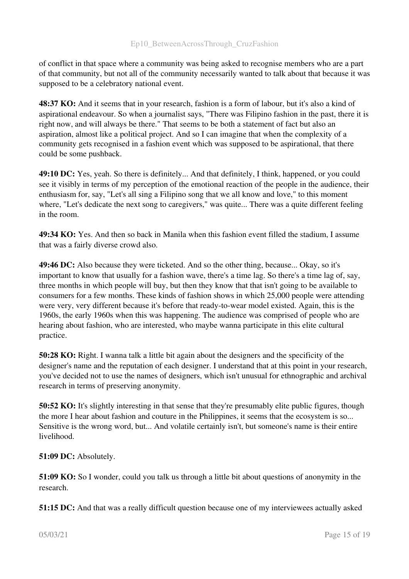of conflict in that space where a community was being asked to recognise members who are a part of that community, but not all of the community necessarily wanted to talk about that because it was supposed to be a celebratory national event.

48:37 KO: And it seems that in your research, fashion is a form of labour, but it's also a kind of aspirational endeavour. So when a journalist says, "There was Filipino fashion in the past, there it is right now, and will always be there." That seems to be both a statement of fact but also an aspiration, almost like a political project. And so I can imagine that when the complexity of a community gets recognised in a fashion event which was supposed to be aspirational, that there could be some pushback.

49:10 DC: Yes, yeah. So there is definitely... And that definitely, I think, happened, or you could see it visibly in terms of my perception of the emotional reaction of the people in the audience, their enthusiasm for, say, "Let's all sing a Filipino song that we all know and love," to this moment where, "Let's dedicate the next song to caregivers," was quite... There was a quite different feeling in the room.

49:34 KO: Yes. And then so back in Manila when this fashion event filled the stadium, I assume that was a fairly diverse crowd also.

49:46 DC: Also because they were ticketed. And so the other thing, because... Okay, so it's important to know that usually for a fashion wave, there's a time lag. So there's a time lag of, say, three months in which people will buy, but then they know that that isn't going to be available to consumers for a few months. These kinds of fashion shows in which 25,000 people were attending were very, very different because it's before that ready-to-wear model existed. Again, this is the 1960s, the early 1960s when this was happening. The audience was comprised of people who are hearing about fashion, who are interested, who maybe wanna participate in this elite cultural practice.

50:28 KO: Right. I wanna talk a little bit again about the designers and the specificity of the designer's name and the reputation of each designer. I understand that at this point in your research, you've decided not to use the names of designers, which isn't unusual for ethnographic and archival research in terms of preserving anonymity.

50:52 KO: It's slightly interesting in that sense that they're presumably elite public figures, though the more I hear about fashion and couture in the Philippines, it seems that the ecosystem is so... Sensitive is the wrong word, but... And volatile certainly isn't, but someone's name is their entire livelihood.

51:09 DC: Absolutely.

51:09 KO: So I wonder, could you talk us through a little bit about questions of anonymity in the research.

51:15 DC: And that was a really difficult question because one of my interviewees actually asked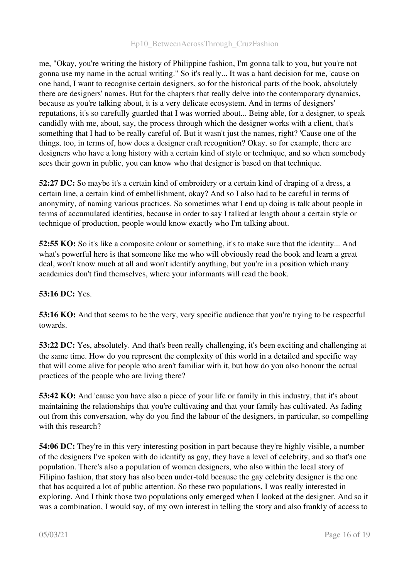me, "Okay, you're writing the history of Philippine fashion, I'm gonna talk to you, but you're not gonna use my name in the actual writing." So it's really... It was a hard decision for me, 'cause on one hand, I want to recognise certain designers, so for the historical parts of the book, absolutely there are designers' names. But for the chapters that really delve into the contemporary dynamics, because as you're talking about, it is a very delicate ecosystem. And in terms of designers' reputations, it's so carefully guarded that I was worried about... Being able, for a designer, to speak candidly with me, about, say, the process through which the designer works with a client, that's something that I had to be really careful of. But it wasn't just the names, right? 'Cause one of the things, too, in terms of, how does a designer craft recognition? Okay, so for example, there are designers who have a long history with a certain kind of style or technique, and so when somebody sees their gown in public, you can know who that designer is based on that technique.

52:27 DC: So maybe it's a certain kind of embroidery or a certain kind of draping of a dress, a certain line, a certain kind of embellishment, okay? And so I also had to be careful in terms of anonymity, of naming various practices. So sometimes what I end up doing is talk about people in terms of accumulated identities, because in order to say I talked at length about a certain style or technique of production, people would know exactly who I'm talking about.

52:55 KO: So it's like a composite colour or something, it's to make sure that the identity... And what's powerful here is that someone like me who will obviously read the book and learn a great deal, won't know much at all and won't identify anything, but you're in a position which many academics don't find themselves, where your informants will read the book.

## 53:16 DC: Yes.

53:16 KO: And that seems to be the very, very specific audience that you're trying to be respectful towards.

53:22 DC: Yes, absolutely. And that's been really challenging, it's been exciting and challenging at the same time. How do you represent the complexity of this world in a detailed and specific way that will come alive for people who aren't familiar with it, but how do you also honour the actual practices of the people who are living there?

53:42 KO: And 'cause you have also a piece of your life or family in this industry, that it's about maintaining the relationships that you're cultivating and that your family has cultivated. As fading out from this conversation, why do you find the labour of the designers, in particular, so compelling with this research?

54:06 DC: They're in this very interesting position in part because they're highly visible, a number of the designers I've spoken with do identify as gay, they have a level of celebrity, and so that's one population. There's also a population of women designers, who also within the local story of Filipino fashion, that story has also been under-told because the gay celebrity designer is the one that has acquired a lot of public attention. So these two populations, I was really interested in exploring. And I think those two populations only emerged when I looked at the designer. And so it was a combination, I would say, of my own interest in telling the story and also frankly of access to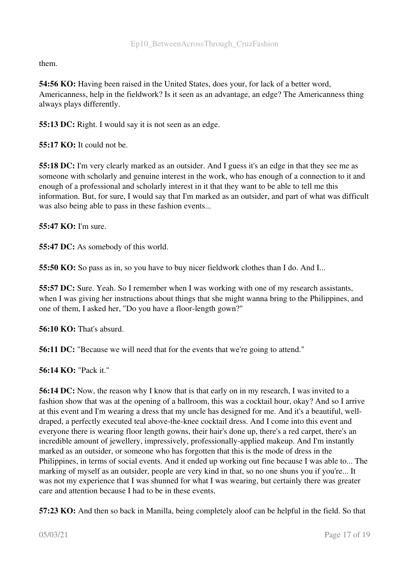them.

54:56 KO: Having been raised in the United States, does your, for lack of a better word, Americanness, help in the fieldwork? Is it seen as an advantage, an edge? The Americanness thing always plays differently.

55:13 DC: Right. I would say it is not seen as an edge.

55:17 KO: It could not be.

55:18 DC: I'm very clearly marked as an outsider. And I guess it's an edge in that they see me as someone with scholarly and genuine interest in the work, who has enough of a connection to it and enough of a professional and scholarly interest in it that they want to be able to tell me this information. But, for sure, I would say that I'm marked as an outsider, and part of what was difficult was also being able to pass in these fashion events...

55:47 KO: I'm sure.

55:47 DC: As somebody of this world.

55:50 KO: So pass as in, so you have to buy nicer fieldwork clothes than I do. And I...

55:57 DC: Sure. Yeah. So I remember when I was working with one of my research assistants, when I was giving her instructions about things that she might wanna bring to the Philippines, and one of them, I asked her, "Do you have a floor-length gown?"

56:10 KO: That's absurd.

56:11 DC: "Because we will need that for the events that we're going to attend."

56:14 KO: "Pack it."

56:14 DC: Now, the reason why I know that is that early on in my research, I was invited to a fashion show that was at the opening of a ballroom, this was a cocktail hour, okay? And so I arrive at this event and I'm wearing a dress that my uncle has designed for me. And it's a beautiful, welldraped, a perfectly executed teal above-the-knee cocktail dress. And I come into this event and everyone there is wearing floor length gowns, their hair's done up, there's a red carpet, there's an incredible amount of jewellery, impressively, professionally-applied makeup. And I'm instantly marked as an outsider, or someone who has forgotten that this is the mode of dress in the Philippines, in terms of social events. And it ended up working out fine because I was able to... The marking of myself as an outsider, people are very kind in that, so no one shuns you if you're... It was not my experience that I was shunned for what I was wearing, but certainly there was greater care and attention because I had to be in these events.

57:23 KO: And then so back in Manilla, being completely aloof can be helpful in the field. So that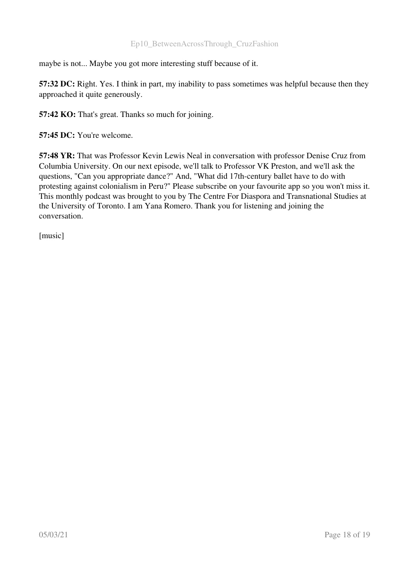maybe is not... Maybe you got more interesting stuff because of it.

57:32 DC: Right. Yes. I think in part, my inability to pass sometimes was helpful because then they approached it quite generously.

57:42 KO: That's great. Thanks so much for joining.

57:45 DC: You're welcome.

57:48 YR: That was Professor Kevin Lewis Neal in conversation with professor Denise Cruz from Columbia University. On our next episode, we'll talk to Professor VK Preston, and we'll ask the questions, "Can you appropriate dance?" And, "What did 17th-century ballet have to do with protesting against colonialism in Peru?" Please subscribe on your favourite app so you won't miss it. This monthly podcast was brought to you by The Centre For Diaspora and Transnational Studies at the University of Toronto. I am Yana Romero. Thank you for listening and joining the conversation.

[music]